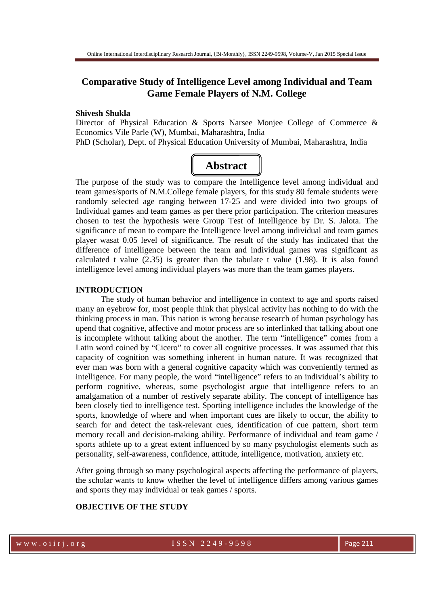# **Comparative Study of Intelligence Level among Individual and Team Game Female Players of N.M. College**

#### **Shivesh Shukla**

Director of Physical Education & Sports Narsee Monjee College of Commerce & Economics Vile Parle (W), Mumbai, Maharashtra, India PhD (Scholar), Dept. of Physical Education University of Mumbai, Maharashtra, India

# **Abstract**

The purpose of the study was to compare the Intelligence level among individual and team games/sports of N.M.College female players, for this study 80 female students were randomly selected age ranging between 17-25 and were divided into two groups of Individual games and team games as per there prior participation. The criterion measures chosen to test the hypothesis were Group Test of Intelligence by Dr. S. Jalota. The significance of mean to compare the Intelligence level among individual and team games player wasat 0.05 level of significance. The result of the study has indicated that the difference of intelligence between the team and individual games was significant as calculated t value  $(2.35)$  is greater than the tabulate t value  $(1.98)$ . It is also found intelligence level among individual players was more than the team games players.

#### **INTRODUCTION**

The study of human behavior and intelligence in context to age and sports raised many an eyebrow for, most people think that physical activity has nothing to do with the thinking process in man. This nation is wrong because research of human psychology has upend that cognitive, affective and motor process are so interlinked that talking about one is incomplete without talking about the another. The term "intelligence" comes from a Latin word coined by "Cicero" to cover all cognitive processes. It was assumed that this capacity of cognition was something inherent in human nature. It was recognized that ever man was born with a general cognitive capacity which was conveniently termed as intelligence. For many people, the word "intelligence" refers to an individual's ability to perform cognitive, whereas, some psychologist argue that intelligence refers to an amalgamation of a number of restively separate ability. The concept of intelligence has been closely tied to intelligence test. Sporting intelligence includes the knowledge of the sports, knowledge of where and when important cues are likely to occur, the ability to search for and detect the task-relevant cues, identification of cue pattern, short term memory recall and decision-making ability. Performance of individual and team game / sports athlete up to a great extent influenced by so many psychologist elements such as personality, self-awareness, confidence, attitude, intelligence, motivation, anxiety etc.

After going through so many psychological aspects affecting the performance of players, the scholar wants to know whether the level of intelligence differs among various games and sports they may individual or teak games / sports.

# **OBJECTIVE OF THE STUDY**

### w w w . o i i r j . o r g and the set of  $1$  S S N  $2$  2 4 9 - 9 5 9 8 Page 211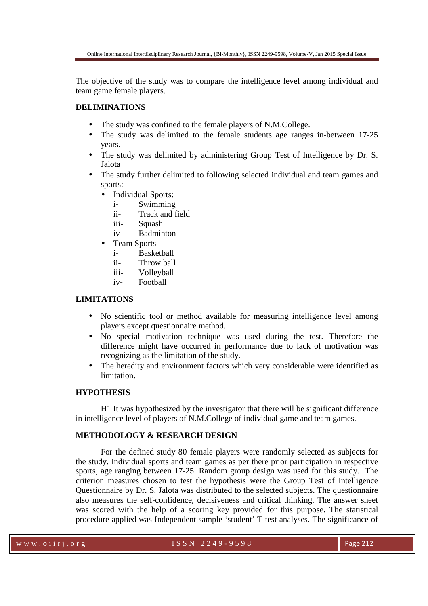The objective of the study was to compare the intelligence level among individual and team game female players.

# **DELIMINATIONS**

- The study was confined to the female players of N.M.College.
- The study was delimited to the female students age ranges in-between 17-25 years.
- The study was delimited by administering Group Test of Intelligence by Dr. S. Jalota
- The study further delimited to following selected individual and team games and sports:
	- Individual Sports:
		- i- Swimming
		- ii- Track and field
		- iii- Squash
		- iv- Badminton
	- Team Sports
		- i- Basketball
		- ii- Throw ball
		- iii- Volleyball
		- iv- Football

## **LIMITATIONS**

- No scientific tool or method available for measuring intelligence level among players except questionnaire method.
- No special motivation technique was used during the test. Therefore the difference might have occurred in performance due to lack of motivation was recognizing as the limitation of the study.
- The heredity and environment factors which very considerable were identified as limitation.

# **HYPOTHESIS**

H1 It was hypothesized by the investigator that there will be significant difference in intelligence level of players of N.M.College of individual game and team games.

#### **METHODOLOGY & RESEARCH DESIGN**

 For the defined study 80 female players were randomly selected as subjects for the study. Individual sports and team games as per there prior participation in respective sports, age ranging between 17-25. Random group design was used for this study. The criterion measures chosen to test the hypothesis were the Group Test of Intelligence Questionnaire by Dr. S. Jalota was distributed to the selected subjects. The questionnaire also measures the self-confidence, decisiveness and critical thinking. The answer sheet was scored with the help of a scoring key provided for this purpose. The statistical procedure applied was Independent sample 'student' T-test analyses. The significance of